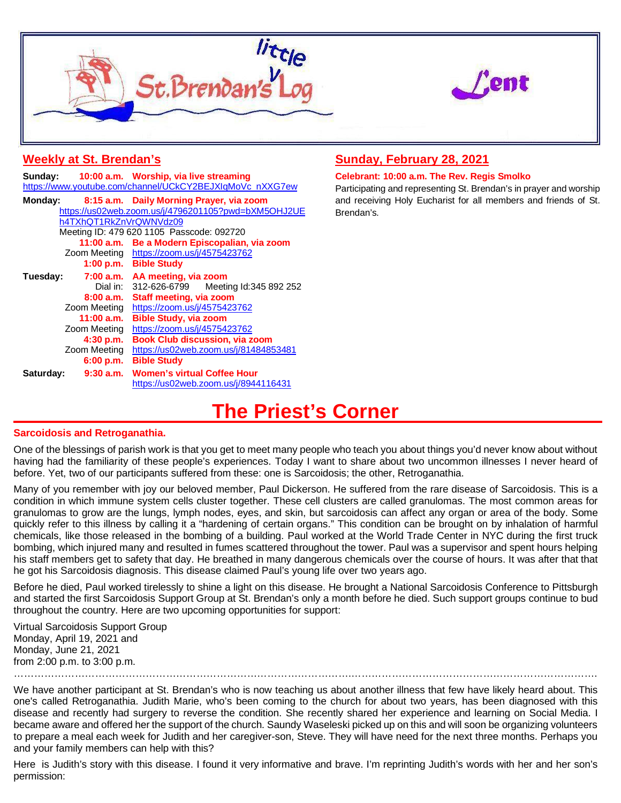



#### **Weekly at St. Brendan's Sunday: 10:00 a.m. Worship, via live streaming** [https://www.youtube.com/channel/UCkCY2BEJXIqMoVc\\_nXXG7ew](https://www.youtube.com/channel/UCkCY2BEJXIqMoVc_nXXG7ew) **Monday: 8:15 a.m. Daily Morning Prayer, via zoom** [https://us02web.zoom.us/j/4796201105?pwd=bXM5OHJ2UE](https://us02web.zoom.us/j/4796201105?pwd=bXM5OHJ2UEh4TXhQT1RkZnVrQWNVdz09) [h4TXhQT1RkZnVrQWNVdz09](https://us02web.zoom.us/j/4796201105?pwd=bXM5OHJ2UEh4TXhQT1RkZnVrQWNVdz09) Meeting ID: 479 620 1105 Passcode: 092720 **11:00 a.m. Be a Modern Episcopalian, via zoom** Zoom Meeting <https://zoom.us/j/4575423762> **1:00 p.m. Bible Study Tuesday: 7:00 a.m. AA meeting, via zoom** Dial in: 312-626-6799 Meeting Id:345 892 252 **8:00 a.m. Staff meeting, via zoom** Zoom Meeting <https://zoom.us/j/4575423762> **11:00 a.m. Bible Study, via zoom** Zoom Meeting <https://zoom.us/j/4575423762> **4:30 p.m. Book Club discussion, via zoom** Zoom Meeting <https://us02web.zoom.us/j/81484853481> **6:00 p.m. Bible Study Saturday: 9:30 a.m. Women's virtual Coffee Hour** <https://us02web.zoom.us/j/8944116431> **Sunday, February 28, 2021 Celebrant: 10:00 a.m. The Rev. Regis Smolko** Participating and representing St. Brendan's in prayer and worship and receiving Holy Eucharist for all members and friends of St. Brendan's.

# **The Priest's Corner**

#### **Sarcoidosis and Retroganathia.**

One of the blessings of parish work is that you get to meet many people who teach you about things you'd never know about without having had the familiarity of these people's experiences. Today I want to share about two uncommon illnesses I never heard of before. Yet, two of our participants suffered from these: one is Sarcoidosis; the other, Retroganathia.

Many of you remember with joy our beloved member, Paul Dickerson. He suffered from the rare disease of Sarcoidosis. This is a condition in which immune system cells cluster together. These cell clusters are called granulomas. The most common areas for granulomas to grow are the lungs, lymph nodes, eyes, and skin, but sarcoidosis can affect any organ or area of the body. Some quickly refer to this illness by calling it a "hardening of certain organs." This condition can be brought on by inhalation of harmful chemicals, like those released in the bombing of a building. Paul worked at the World Trade Center in NYC during the first truck bombing, which injured many and resulted in fumes scattered throughout the tower. Paul was a supervisor and spent hours helping his staff members get to safety that day. He breathed in many dangerous chemicals over the course of hours. It was after that that he got his Sarcoidosis diagnosis. This disease claimed Paul's young life over two years ago.

Before he died, Paul worked tirelessly to shine a light on this disease. He brought a National Sarcoidosis Conference to Pittsburgh and started the first Sarcoidosis Support Group at St. Brendan's only a month before he died. Such support groups continue to bud throughout the country. Here are two upcoming opportunities for support:

Virtual Sarcoidosis Support Group Monday, April 19, 2021 and Monday, June 21, 2021 from 2:00 p.m. to 3:00 p.m. ……………………………………………………………………………………….……………………………………………………………….

We have another participant at St. Brendan's who is now teaching us about another illness that few have likely heard about. This one's called Retroganathia. Judith Marie, who's been coming to the church for about two years, has been diagnosed with this disease and recently had surgery to reverse the condition. She recently shared her experience and learning on Social Media. I became aware and offered her the support of the church. Saundy Waseleski picked up on this and will soon be organizing volunteers to prepare a meal each week for Judith and her caregiver-son, Steve. They will have need for the next three months. Perhaps you and your family members can help with this?

Here is Judith's story with this disease. I found it very informative and brave. I'm reprinting Judith's words with her and her son's permission: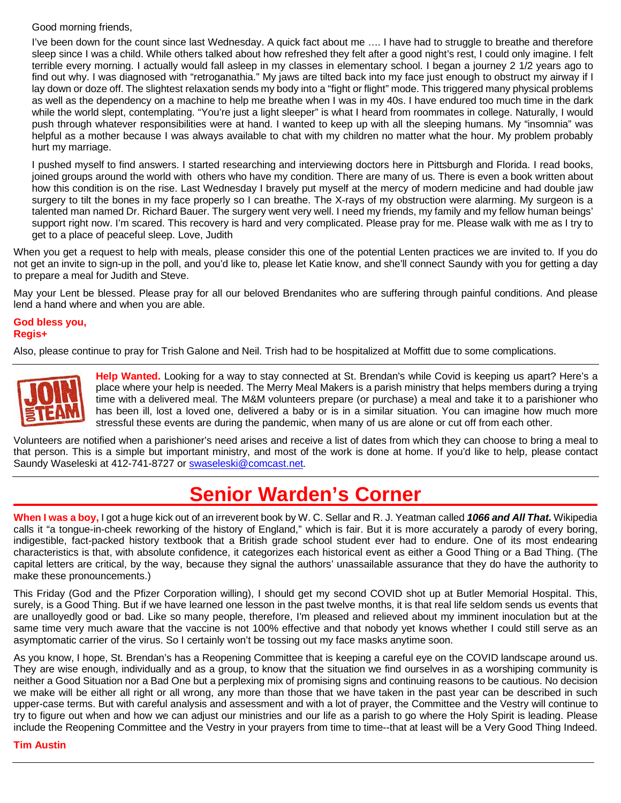Good morning friends,

I've been down for the count since last Wednesday. A quick fact about me …. I have had to struggle to breathe and therefore sleep since I was a child. While others talked about how refreshed they felt after a good night's rest, I could only imagine. I felt terrible every morning. I actually would fall asleep in my classes in elementary school. I began a journey 2 1/2 years ago to find out why. I was diagnosed with "retroganathia." My jaws are tilted back into my face just enough to obstruct my airway if I lay down or doze off. The slightest relaxation sends my body into a "fight or flight" mode. This triggered many physical problems as well as the dependency on a machine to help me breathe when I was in my 40s. I have endured too much time in the dark while the world slept, contemplating. "You're just a light sleeper" is what I heard from roommates in college. Naturally, I would push through whatever responsibilities were at hand. I wanted to keep up with all the sleeping humans. My "insomnia" was helpful as a mother because I was always available to chat with my children no matter what the hour. My problem probably hurt my marriage.

I pushed myself to find answers. I started researching and interviewing doctors here in Pittsburgh and Florida. I read books, joined groups around the world with others who have my condition. There are many of us. There is even a book written about how this condition is on the rise. Last Wednesday I bravely put myself at the mercy of modern medicine and had double jaw surgery to tilt the bones in my face properly so I can breathe. The X-rays of my obstruction were alarming. My surgeon is a talented man named Dr. Richard Bauer. The surgery went very well. I need my friends, my family and my fellow human beings' support right now. I'm scared. This recovery is hard and very complicated. Please pray for me. Please walk with me as I try to get to a place of peaceful sleep. Love, Judith

When you get a request to help with meals, please consider this one of the potential Lenten practices we are invited to. If you do not get an invite to sign-up in the poll, and you'd like to, please let Katie know, and she'll connect Saundy with you for getting a day to prepare a meal for Judith and Steve.

May your Lent be blessed. Please pray for all our beloved Brendanites who are suffering through painful conditions. And please lend a hand where and when you are able.

### **God bless you, Regis+**

Also, please continue to pray for Trish Galone and Neil. Trish had to be hospitalized at Moffitt due to some complications.



**Help Wanted.** Looking for a way to stay connected at St. Brendan's while Covid is keeping us apart? Here's a place where your help is needed. The Merry Meal Makers is a parish ministry that helps members during a trying time with a delivered meal. The M&M volunteers prepare (or purchase) a meal and take it to a parishioner who has been ill, lost a loved one, delivered a baby or is in a similar situation. You can imagine how much more stressful these events are during the pandemic, when many of us are alone or cut off from each other.

Volunteers are notified when a parishioner's need arises and receive a list of dates from which they can choose to bring a meal to that person. This is a simple but important ministry, and most of the work is done at home. If you'd like to help, please contact Saundy Waseleski at 412-741-8727 or [swaseleski@comcast.net.](mailto:swaseleski@comcast.net)

### **Senior Warden's Corner**

**When I was a boy,** I got a huge kick out of an irreverent book by W. C. Sellar and R. J. Yeatman called *1066 and All That***.** Wikipedia calls it "a tongue-in-cheek reworking of the history of England," which is fair. But it is more accurately a parody of every boring, indigestible, fact-packed history textbook that a British grade school student ever had to endure. One of its most endearing characteristics is that, with absolute confidence, it categorizes each historical event as either a Good Thing or a Bad Thing. (The capital letters are critical, by the way, because they signal the authors' unassailable assurance that they do have the authority to make these pronouncements.)

This Friday (God and the Pfizer Corporation willing), I should get my second COVID shot up at Butler Memorial Hospital. This, surely, is a Good Thing. But if we have learned one lesson in the past twelve months, it is that real life seldom sends us events that are unalloyedly good or bad. Like so many people, therefore, I'm pleased and relieved about my imminent inoculation but at the same time very much aware that the vaccine is not 100% effective and that nobody yet knows whether I could still serve as an asymptomatic carrier of the virus. So I certainly won't be tossing out my face masks anytime soon.

As you know, I hope, St. Brendan's has a Reopening Committee that is keeping a careful eye on the COVID landscape around us. They are wise enough, individually and as a group, to know that the situation we find ourselves in as a worshiping community is neither a Good Situation nor a Bad One but a perplexing mix of promising signs and continuing reasons to be cautious. No decision we make will be either all right or all wrong, any more than those that we have taken in the past year can be described in such upper-case terms. But with careful analysis and assessment and with a lot of prayer, the Committee and the Vestry will continue to try to figure out when and how we can adjust our ministries and our life as a parish to go where the Holy Spirit is leading. Please include the Reopening Committee and the Vestry in your prayers from time to time--that at least will be a Very Good Thing Indeed.

#### **Tim Austin**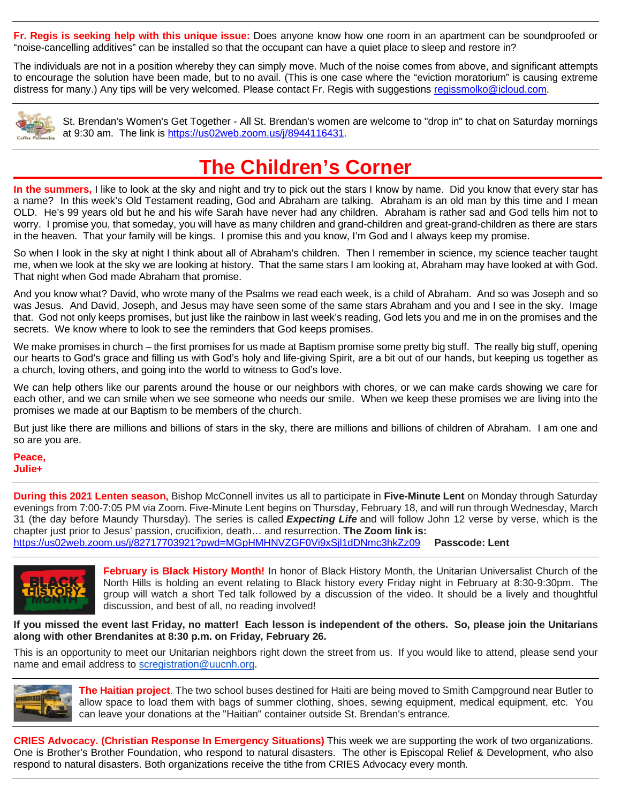**Fr. Regis is seeking help with this unique issue:** Does anyone know how one room in an apartment can be soundproofed or "noise-cancelling additives" can be installed so that the occupant can have a quiet place to sleep and restore in?

The individuals are not in a position whereby they can simply move. Much of the noise comes from above, and significant attempts to encourage the solution have been made, but to no avail. (This is one case where the "eviction moratorium" is causing extreme distress for many.) Any tips will be very welcomed. Please contact Fr. Regis with suggestions [regissmolko@icloud.com.](mailto:regissmolko@icloud.com)



St. Brendan's Women's Get Together - All St. Brendan's women are welcome to "drop in" to chat on Saturday mornings at 9:30 am. The link is [https://us02web.zoom.us/j/8944116431.](https://us02web.zoom.us/j/8944116431)

# **The Children's Corner**

In the summers, I like to look at the sky and night and try to pick out the stars I know by name. Did you know that every star has a name? In this week's Old Testament reading, God and Abraham are talking. Abraham is an old man by this time and I mean OLD. He's 99 years old but he and his wife Sarah have never had any children. Abraham is rather sad and God tells him not to worry. I promise you, that someday, you will have as many children and grand-children and great-grand-children as there are stars in the heaven. That your family will be kings. I promise this and you know, I'm God and I always keep my promise.

So when I look in the sky at night I think about all of Abraham's children. Then I remember in science, my science teacher taught me, when we look at the sky we are looking at history. That the same stars I am looking at, Abraham may have looked at with God. That night when God made Abraham that promise.

And you know what? David, who wrote many of the Psalms we read each week, is a child of Abraham. And so was Joseph and so was Jesus. And David, Joseph, and Jesus may have seen some of the same stars Abraham and you and I see in the sky. Image that. God not only keeps promises, but just like the rainbow in last week's reading, God lets you and me in on the promises and the secrets. We know where to look to see the reminders that God keeps promises.

We make promises in church – the first promises for us made at Baptism promise some pretty big stuff. The really big stuff, opening our hearts to God's grace and filling us with God's holy and life-giving Spirit, are a bit out of our hands, but keeping us together as a church, loving others, and going into the world to witness to God's love.

We can help others like our parents around the house or our neighbors with chores, or we can make cards showing we care for each other, and we can smile when we see someone who needs our smile. When we keep these promises we are living into the promises we made at our Baptism to be members of the church.

But just like there are millions and billions of stars in the sky, there are millions and billions of children of Abraham. I am one and so are you are.

#### **Peace, Julie+**

**During this 2021 Lenten season,** Bishop McConnell invites us all to participate in **Five-Minute Lent** on Monday through Saturday evenings from 7:00-7:05 PM via Zoom. Five-Minute Lent begins on Thursday, February 18, and will run through Wednesday, March 31 (the day before Maundy Thursday). The series is called *Expecting Life* and will follow John 12 verse by verse, which is the chapter just prior to Jesus' passion, crucifixion, death… and resurrection. **The Zoom link is:** [https://us02web.zoom.us/j/82717703921?pwd=MGpHMHNVZGF0Vi9xSjl1dDNmc3hkZz09](http://r20.rs6.net/tn.jsp?f=001bHiX0m8TDUa_uOBusSwz45gYv12RRc-NmDKiBfBvZI61U4u9f-HitevCIEjxWGQgspe3s-neNCysC3EsjBoh6FKfzrQw9qrICvyptHoHoTSaYcfTe97ong4Us_e_rYS3zg-NBwT9YCyqL1uFZqiRjd_ezplVvvJhW7vIDbMAitrR-jH19p15l-XJWr7jlLYfYyxcKnNYB14sZ3SmaaQj_mhcTvvxS3Qz&c=NDkSvLg9GnOw-9g5yfRLXDHNhrFSoQFnGcuohRcQFgs3rHuPzRcIxA==&ch=xFxuDaO7dE_effyf0SDGf-4-NLQiUcaiPhXlcPqQsWkvP_FzXR9jXw==) **Passcode: Lent**



**February is Black History Month!** In honor of Black History Month, the Unitarian Universalist Church of the North Hills is holding an event relating to Black history every Friday night in February at 8:30-9:30pm. The group will watch a short Ted talk followed by a discussion of the video. It should be a lively and thoughtful discussion, and best of all, no reading involved!

#### **If you missed the event last Friday, no matter! Each lesson is independent of the others. So, please join the Unitarians along with other Brendanites at 8:30 p.m. on Friday, February 26.**

This is an opportunity to meet our Unitarian neighbors right down the street from us. If you would like to attend, please send your name and email address to [scregistration@uucnh.org.](mailto:scregistration@uucnh.org)



**The Haitian project**. The two school buses destined for Haiti are being moved to Smith Campground near Butler to allow space to load them with bags of summer clothing, shoes, sewing equipment, medical equipment, etc. You can leave your donations at the "Haitian" container outside St. Brendan's entrance.

**CRIES Advocacy. (Christian Response In Emergency Situations)** This week we are supporting the work of two organizations. One is Brother's Brother Foundation, who respond to natural disasters. The other is Episcopal Relief & Development, who also respond to natural disasters. Both organizations receive the tithe from CRIES Advocacy every month.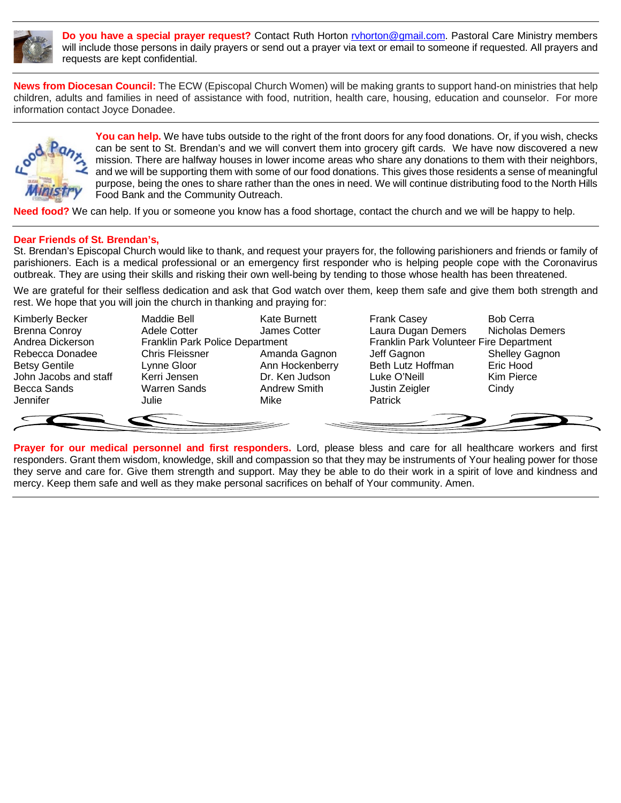

**Do you have a special prayer request?** Contact Ruth Horton [rvhorton@gmail.com.](mailto:rvhorton@gmail.com) Pastoral Care Ministry members will include those persons in daily prayers or send out a prayer via text or email to someone if requested. All prayers and requests are kept confidential.

**News from Diocesan Council:** The ECW (Episcopal Church Women) will be making grants to support hand-on ministries that help children, adults and families in need of assistance with food, nutrition, health care, housing, education and counselor. For more information contact Joyce Donadee.



**You can help.** We have tubs outside to the right of the front doors for any food donations. Or, if you wish, checks can be sent to St. Brendan's and we will convert them into grocery gift cards. We have now discovered a new mission. There are halfway houses in lower income areas who share any donations to them with their neighbors, and we will be supporting them with some of our food donations. This gives those residents a sense of meaningful purpose, being the ones to share rather than the ones in need. We will continue distributing food to the North Hills Food Bank and the Community Outreach.

**Need food?** We can help. If you or someone you know has a food shortage, contact the church and we will be happy to help.

#### **Dear Friends of St. Brendan's,**

St. Brendan's Episcopal Church would like to thank, and request your prayers for, the following parishioners and friends or family of parishioners. Each is a medical professional or an emergency first responder who is helping people cope with the Coronavirus outbreak. They are using their skills and risking their own well-being by tending to those whose health has been threatened.

We are grateful for their selfless dedication and ask that God watch over them, keep them safe and give them both strength and rest. We hope that you will join the church in thanking and praying for:

| <b>Kimberly Becker</b> | Maddie Bell                     | Kate Burnett        | <b>Frank Casey</b>                      | <b>Bob Cerra</b>      |
|------------------------|---------------------------------|---------------------|-----------------------------------------|-----------------------|
| <b>Brenna Conroy</b>   | Adele Cotter                    | James Cotter        | Laura Dugan Demers                      | Nicholas Demers       |
| Andrea Dickerson       | Franklin Park Police Department |                     | Franklin Park Volunteer Fire Department |                       |
| Rebecca Donadee        | <b>Chris Fleissner</b>          | Amanda Gagnon       | Jeff Gagnon                             | <b>Shelley Gagnon</b> |
| <b>Betsy Gentile</b>   | Lynne Gloor                     | Ann Hockenberry     | Beth Lutz Hoffman                       | Eric Hood             |
| John Jacobs and staff  | Kerri Jensen                    | Dr. Ken Judson      | Luke O'Neill                            | <b>Kim Pierce</b>     |
| Becca Sands            | <b>Warren Sands</b>             | <b>Andrew Smith</b> | Justin Zeigler                          | Cindy                 |
| Jennifer               | Julie                           | Mike                | Patrick                                 |                       |
|                        |                                 |                     |                                         |                       |
|                        |                                 |                     |                                         |                       |

**Prayer for our medical personnel and first responders.** Lord, please bless and care for all healthcare workers and first responders. Grant them wisdom, knowledge, skill and compassion so that they may be instruments of Your healing power for those they serve and care for. Give them strength and support. May they be able to do their work in a spirit of love and kindness and mercy. Keep them safe and well as they make personal sacrifices on behalf of Your community. Amen.